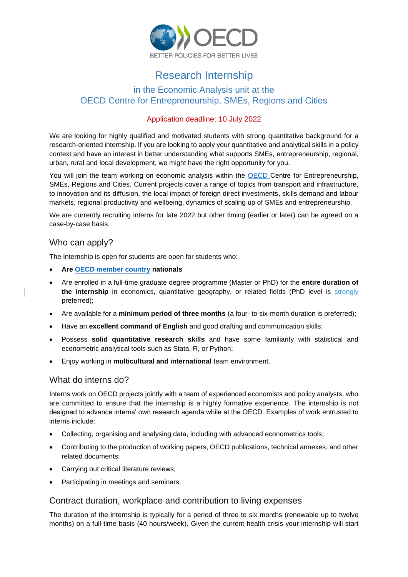

# Research Internship

# in the Economic Analysis unit at the OECD Centre for Entrepreneurship, SMEs, Regions and Cities

#### Application deadline: 10 July 2022

We are looking for highly qualified and motivated students with strong quantitative background for a research-oriented internship. If you are looking to apply your quantitative and analytical skills in a policy context and have an interest in better understanding what supports SMEs, entrepreneurship, regional, urban, rural and local development, we might have the right opportunity for you.

You will join the team working on economic analysis within the [OECD C](https://www.oecd.org/cfe/)entre for Entrepreneurship, SMEs, Regions and Cities. Current projects cover a range of topics from transport and infrastructure, to innovation and its diffusion, the local impact of foreign direct investments, skills demand and labour markets, regional productivity and wellbeing, dynamics of scaling up of SMEs and entrepreneurship.

We are currently recruiting interns for late 2022 but other timing (earlier or later) can be agreed on a case-by-case basis.

## Who can apply?

The Internship is open for students are open for students who:

- **Are [OECD member country](http://www.oecd.org/about/members-and-partners/) nationals**
- Are enrolled in a full-time graduate degree programme (Master or PhD) for the **entire duration of**  the internship in economics, quantitative geography, or related fields (PhD level is strongly preferred);
- Are available for a **minimum period of three months** (a four- to six-month duration is preferred);
- Have an **excellent command of English** and good drafting and communication skills;
- Possess **solid quantitative research skills** and have some familiarity with statistical and econometric analytical tools such as Stata, R, or Python;
- Enjoy working in **multicultural and international** team environment.

#### What do interns do?

Interns work on OECD projects jointly with a team of experienced economists and policy analysts, who are committed to ensure that the internship is a highly formative experience. The internship is not designed to advance interns' own research agenda while at the OECD. Examples of work entrusted to interns include:

- Collecting, organising and analysing data, including with advanced econometrics tools;
- Contributing to the production of working papers, OECD publications, technical annexes, and other related documents;
- Carrying out critical literature reviews;
- Participating in meetings and seminars.

#### Contract duration, workplace and contribution to living expenses

The duration of the internship is typically for a period of three to six months (renewable up to twelve months) on a full-time basis (40 hours/week). Given the current health crisis your internship will start